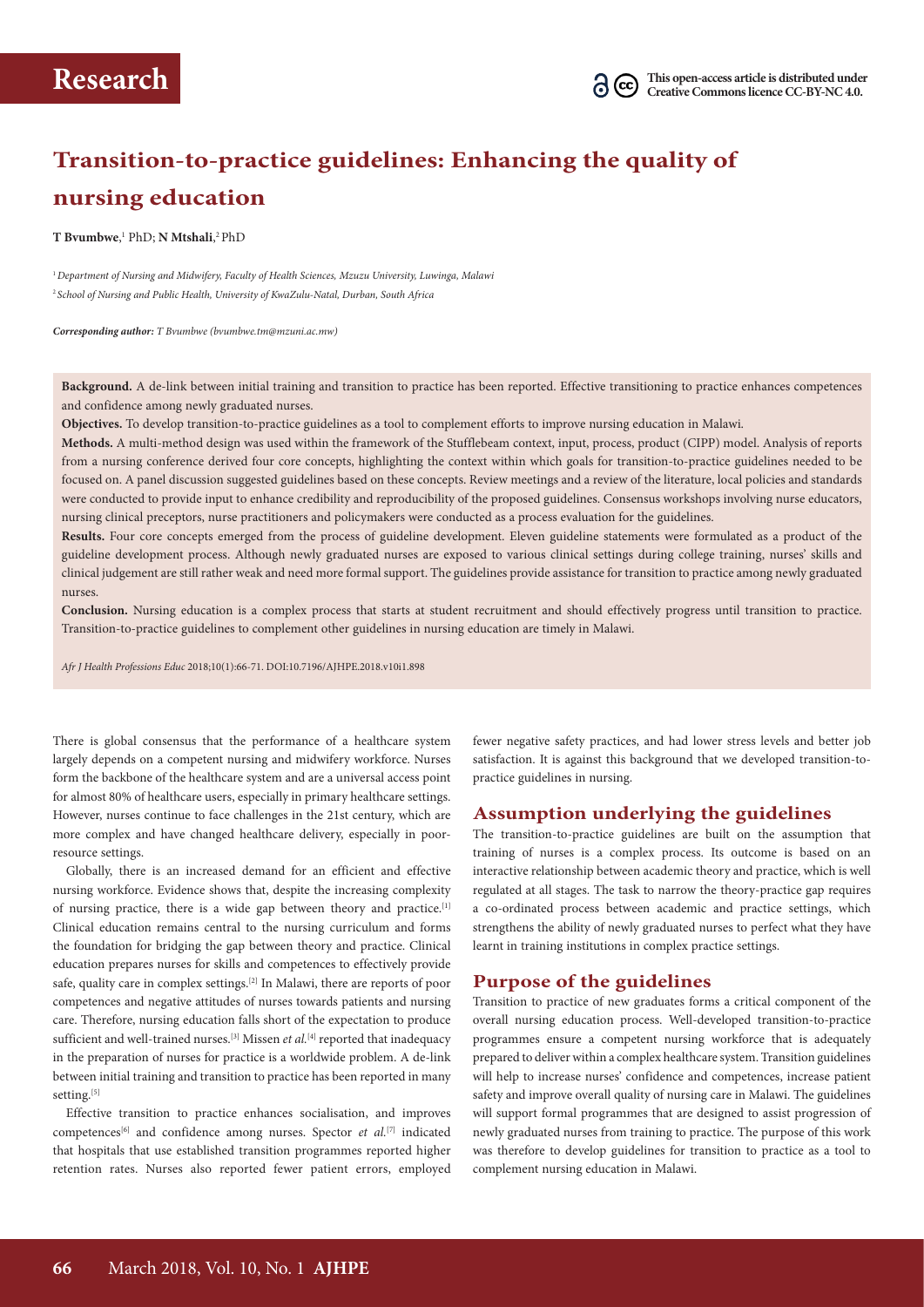# **Transition-to-practice guidelines: Enhancing the quality of nursing education**

**T Bvumbwe**, 1 PhD; **N Mtshali**, 2 PhD

<sup>1</sup>*Department of Nursing and Midwifery, Faculty of Health Sciences, Mzuzu University, Luwinga, Malawi* <sup>2</sup>*School of Nursing and Public Health, University of KwaZulu-Natal, Durban, South Africa*

*Corresponding author: T Bvumbwe (bvumbwe.tm@mzuni.ac.mw)*

**Background.** A de-link between initial training and transition to practice has been reported. Effective transitioning to practice enhances competences and confidence among newly graduated nurses.

**Objectives.** To develop transition-to-practice guidelines as a tool to complement efforts to improve nursing education in Malawi.

**Methods.** A multi-method design was used within the framework of the Stufflebeam context, input, process, product (CIPP) model. Analysis of reports from a nursing conference derived four core concepts, highlighting the context within which goals for transition-to-practice guidelines needed to be focused on. A panel discussion suggested guidelines based on these concepts. Review meetings and a review of the literature, local policies and standards were conducted to provide input to enhance credibility and reproducibility of the proposed guidelines. Consensus workshops involving nurse educators, nursing clinical preceptors, nurse practitioners and policymakers were conducted as a process evaluation for the guidelines.

**Results.** Four core concepts emerged from the process of guideline development. Eleven guideline statements were formulated as a product of the guideline development process. Although newly graduated nurses are exposed to various clinical settings during college training, nurses' skills and clinical judgement are still rather weak and need more formal support. The guidelines provide assistance for transition to practice among newly graduated nurses.

**Conclusion.** Nursing education is a complex process that starts at student recruitment and should effectively progress until transition to practice. Transition-to-practice guidelines to complement other guidelines in nursing education are timely in Malawi.

*Afr J Health Professions Educ* 2018;10(1):66-71. DOI:10.7196/AJHPE.2018.v10i1.898

There is global consensus that the performance of a healthcare system largely depends on a competent nursing and midwifery workforce. Nurses form the backbone of the healthcare system and are a universal access point for almost 80% of healthcare users, especially in primary healthcare settings. However, nurses continue to face challenges in the 21st century, which are more complex and have changed healthcare delivery, especially in poorresource settings.

Globally, there is an increased demand for an efficient and effective nursing workforce. Evidence shows that, despite the increasing complexity of nursing practice, there is a wide gap between theory and practice.<sup>[1]</sup> Clinical education remains central to the nursing curriculum and forms the foundation for bridging the gap between theory and practice. Clinical education prepares nurses for skills and competences to effectively provide safe, quality care in complex settings.[2] In Malawi, there are reports of poor competences and negative attitudes of nurses towards patients and nursing care. Therefore, nursing education falls short of the expectation to produce sufficient and well-trained nurses.<sup>[3]</sup> Missen *et al.*<sup>[4]</sup> reported that inadequacy in the preparation of nurses for practice is a worldwide problem. A de-link between initial training and transition to practice has been reported in many setting.[5]

Effective transition to practice enhances socialisation, and improves competences<sup>[6]</sup> and confidence among nurses. Spector *et al.*<sup>[7]</sup> indicated that hospitals that use established transition programmes reported higher retention rates. Nurses also reported fewer patient errors, employed

fewer negative safety practices, and had lower stress levels and better job satisfaction. It is against this background that we developed transition-topractice guidelines in nursing.

#### **Assumption underlying the guidelines**

The transition-to-practice guidelines are built on the assumption that training of nurses is a complex process. Its outcome is based on an interactive relationship between academic theory and practice, which is well regulated at all stages. The task to narrow the theory-practice gap requires a co-ordinated process between academic and practice settings, which strengthens the ability of newly graduated nurses to perfect what they have learnt in training institutions in complex practice settings.

### **Purpose of the guidelines**

Transition to practice of new graduates forms a critical component of the overall nursing education process. Well-developed transition-to-practice programmes ensure a competent nursing workforce that is adequately prepared to deliver within a complex healthcare system. Transition guidelines will help to increase nurses' confidence and competences, increase patient safety and improve overall quality of nursing care in Malawi. The guidelines will support formal programmes that are designed to assist progression of newly graduated nurses from training to practice. The purpose of this work was therefore to develop guidelines for transition to practice as a tool to complement nursing education in Malawi.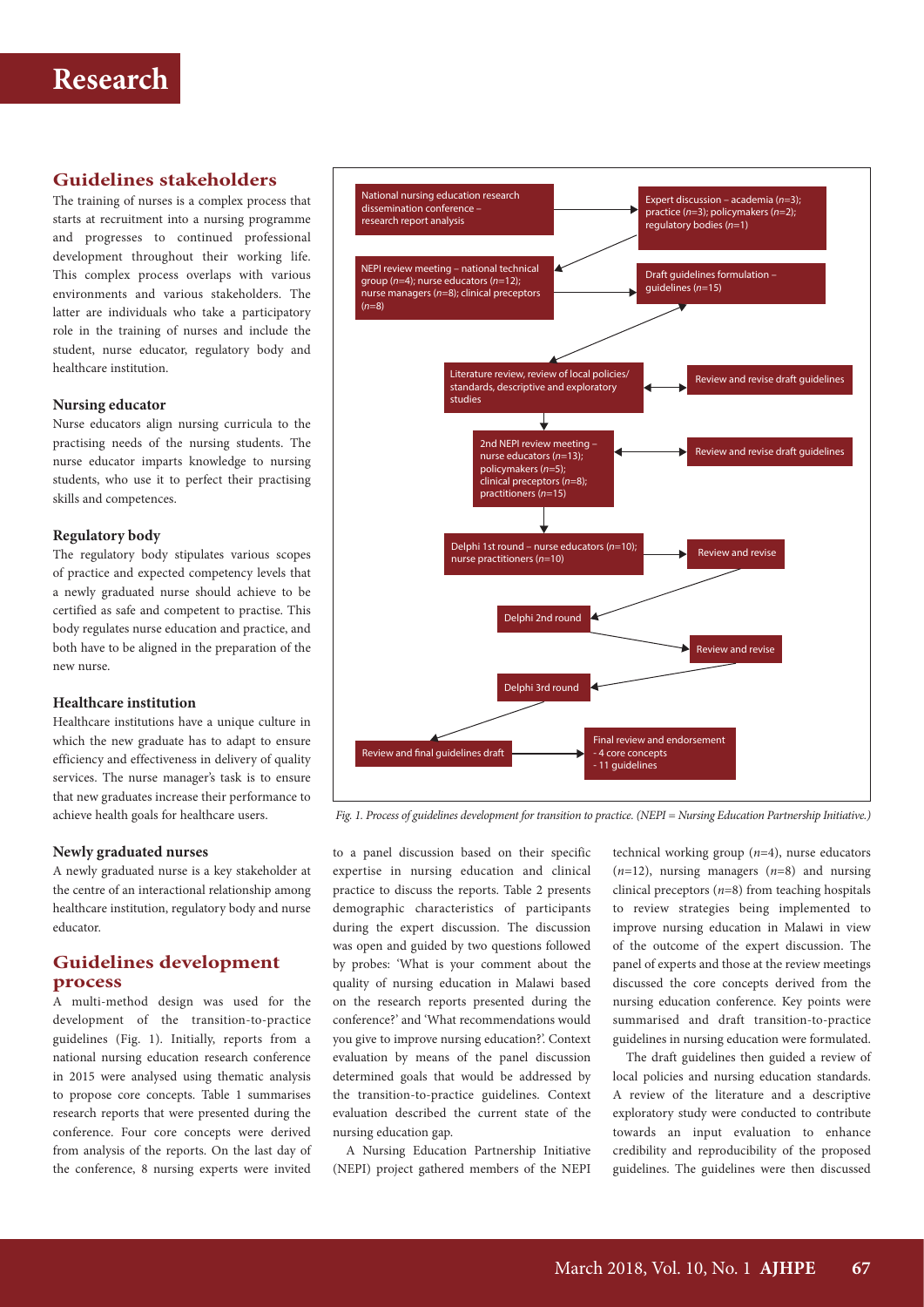# **Guidelines stakeholders**

The training of nurses is a complex process that starts at recruitment into a nursing programme and progresses to continued professional development throughout their working life. This complex process overlaps with various environments and various stakeholders. The latter are individuals who take a participatory role in the training of nurses and include the student, nurse educator, regulatory body and healthcare institution.

#### **Nursing educator**

Nurse educators align nursing curricula to the practising needs of the nursing students. The nurse educator imparts knowledge to nursing students, who use it to perfect their practising skills and competences.

#### **Regulatory body**

The regulatory body stipulates various scopes of practice and expected competency levels that a newly graduated nurse should achieve to be certified as safe and competent to practise. This body regulates nurse education and practice, and both have to be aligned in the preparation of the new nurse.

#### **Healthcare institution**

Healthcare institutions have a unique culture in which the new graduate has to adapt to ensure efficiency and effectiveness in delivery of quality services. The nurse manager's task is to ensure that new graduates increase their performance to achieve health goals for healthcare users.

#### **Newly graduated nurses**

A newly graduated nurse is a key stakeholder at the centre of an interactional relationship among healthcare institution, regulatory body and nurse educator.

### **Guidelines development process**

A multi-method design was used for the development of the transition-to-practice guidelines (Fig. 1). Initially, reports from a national nursing education research conference in 2015 were analysed using thematic analysis to propose core concepts. Table 1 summarises research reports that were presented during the conference. Four core concepts were derived from analysis of the reports. On the last day of the conference, 8 nursing experts were invited



 *Fig. 1. Process of guidelines development for transition to practice. (NEPI = Nursing Education Partnership Initiative.)*

to a panel discussion based on their specific expertise in nursing education and clinical practice to discuss the reports. Table 2 presents demographic characteristics of participants during the expert discussion. The discussion was open and guided by two questions followed by probes: 'What is your comment about the quality of nursing education in Malawi based on the research reports presented during the conference?' and 'What recommendations would you give to improve nursing education?'. Context evaluation by means of the panel discussion determined goals that would be addressed by the transition-to-practice guidelines. Context evaluation described the current state of the nursing education gap.

A Nursing Education Partnership Initiative (NEPI) project gathered members of the NEPI

technical working group (*n*=4), nurse educators (*n*=12), nursing managers (*n*=8) and nursing clinical preceptors (*n*=8) from teaching hospitals to review strategies being implemented to improve nursing education in Malawi in view of the outcome of the expert discussion. The panel of experts and those at the review meetings discussed the core concepts derived from the nursing education conference. Key points were summarised and draft transition-to-practice guidelines in nursing education were formulated.

The draft guidelines then guided a review of local policies and nursing education standards. A review of the literature and a descriptive exploratory study were conducted to contribute towards an input evaluation to enhance credibility and reproducibility of the proposed guidelines. The guidelines were then discussed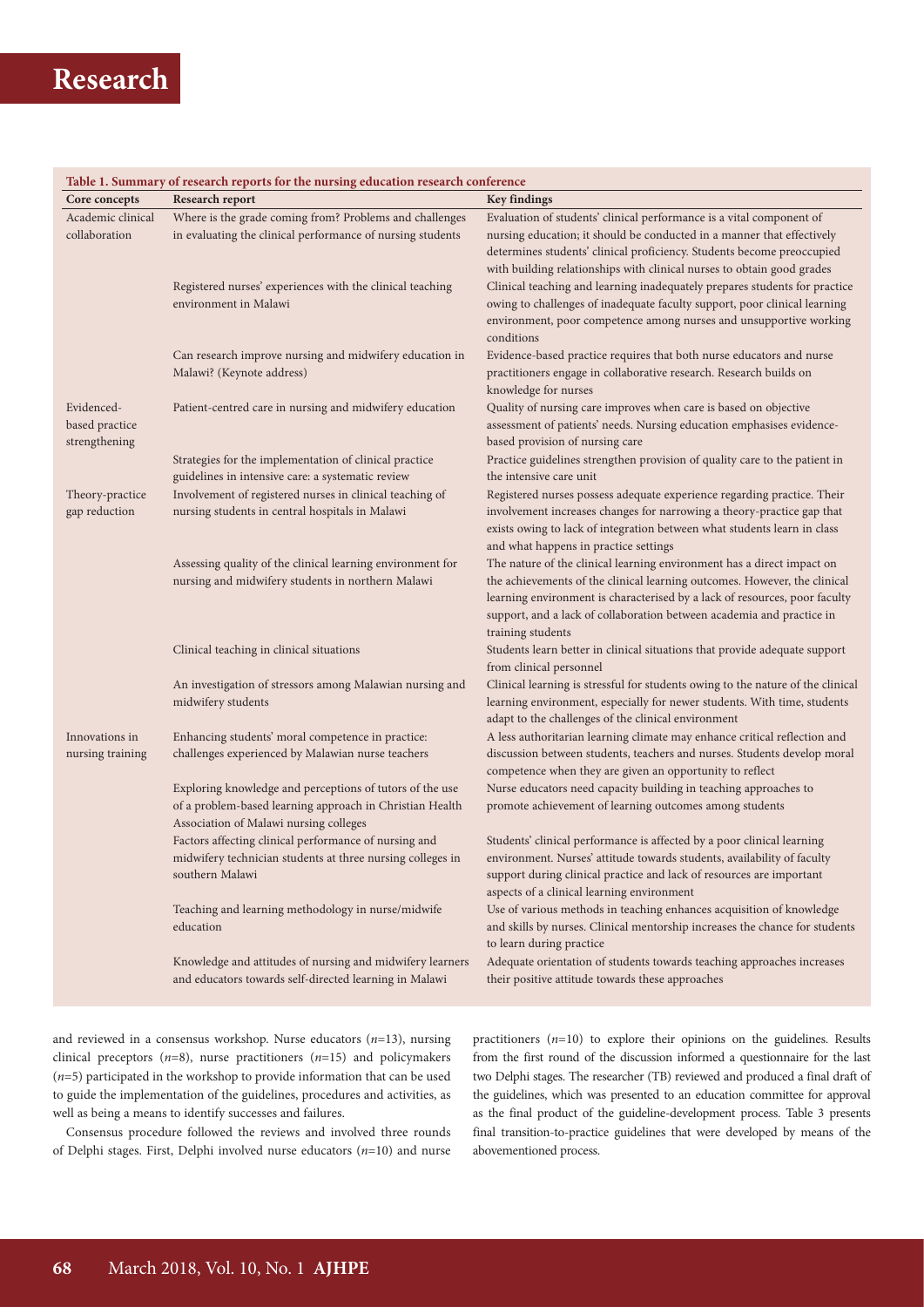# **Research**

| Table 1. Summary of research reports for the nursing education research conference |                                                                                                                     |                                                                                                                                                   |  |  |  |  |  |
|------------------------------------------------------------------------------------|---------------------------------------------------------------------------------------------------------------------|---------------------------------------------------------------------------------------------------------------------------------------------------|--|--|--|--|--|
| Core concepts                                                                      | Research report                                                                                                     | <b>Key findings</b>                                                                                                                               |  |  |  |  |  |
| Academic clinical                                                                  | Where is the grade coming from? Problems and challenges                                                             | Evaluation of students' clinical performance is a vital component of                                                                              |  |  |  |  |  |
| collaboration                                                                      | in evaluating the clinical performance of nursing students                                                          | nursing education; it should be conducted in a manner that effectively                                                                            |  |  |  |  |  |
|                                                                                    |                                                                                                                     | determines students' clinical proficiency. Students become preoccupied                                                                            |  |  |  |  |  |
|                                                                                    |                                                                                                                     | with building relationships with clinical nurses to obtain good grades                                                                            |  |  |  |  |  |
|                                                                                    | Registered nurses' experiences with the clinical teaching                                                           | Clinical teaching and learning inadequately prepares students for practice                                                                        |  |  |  |  |  |
|                                                                                    | environment in Malawi                                                                                               | owing to challenges of inadequate faculty support, poor clinical learning                                                                         |  |  |  |  |  |
|                                                                                    |                                                                                                                     | environment, poor competence among nurses and unsupportive working                                                                                |  |  |  |  |  |
|                                                                                    |                                                                                                                     | conditions                                                                                                                                        |  |  |  |  |  |
|                                                                                    | Can research improve nursing and midwifery education in                                                             | Evidence-based practice requires that both nurse educators and nurse                                                                              |  |  |  |  |  |
|                                                                                    | Malawi? (Keynote address)                                                                                           | practitioners engage in collaborative research. Research builds on                                                                                |  |  |  |  |  |
|                                                                                    |                                                                                                                     | knowledge for nurses                                                                                                                              |  |  |  |  |  |
| Evidenced-                                                                         | Patient-centred care in nursing and midwifery education                                                             | Quality of nursing care improves when care is based on objective                                                                                  |  |  |  |  |  |
| based practice                                                                     |                                                                                                                     | assessment of patients' needs. Nursing education emphasises evidence-                                                                             |  |  |  |  |  |
| strengthening                                                                      |                                                                                                                     | based provision of nursing care                                                                                                                   |  |  |  |  |  |
|                                                                                    | Strategies for the implementation of clinical practice                                                              | Practice guidelines strengthen provision of quality care to the patient in                                                                        |  |  |  |  |  |
|                                                                                    | guidelines in intensive care: a systematic review                                                                   | the intensive care unit                                                                                                                           |  |  |  |  |  |
| Theory-practice                                                                    | Involvement of registered nurses in clinical teaching of                                                            | Registered nurses possess adequate experience regarding practice. Their                                                                           |  |  |  |  |  |
| gap reduction                                                                      | nursing students in central hospitals in Malawi                                                                     | involvement increases changes for narrowing a theory-practice gap that                                                                            |  |  |  |  |  |
|                                                                                    |                                                                                                                     | exists owing to lack of integration between what students learn in class                                                                          |  |  |  |  |  |
|                                                                                    |                                                                                                                     | and what happens in practice settings                                                                                                             |  |  |  |  |  |
|                                                                                    | Assessing quality of the clinical learning environment for                                                          | The nature of the clinical learning environment has a direct impact on                                                                            |  |  |  |  |  |
|                                                                                    | nursing and midwifery students in northern Malawi                                                                   | the achievements of the clinical learning outcomes. However, the clinical                                                                         |  |  |  |  |  |
|                                                                                    |                                                                                                                     | learning environment is characterised by a lack of resources, poor faculty                                                                        |  |  |  |  |  |
|                                                                                    |                                                                                                                     | support, and a lack of collaboration between academia and practice in                                                                             |  |  |  |  |  |
|                                                                                    |                                                                                                                     | training students                                                                                                                                 |  |  |  |  |  |
|                                                                                    | Clinical teaching in clinical situations                                                                            | Students learn better in clinical situations that provide adequate support                                                                        |  |  |  |  |  |
|                                                                                    |                                                                                                                     | from clinical personnel                                                                                                                           |  |  |  |  |  |
|                                                                                    | An investigation of stressors among Malawian nursing and                                                            | Clinical learning is stressful for students owing to the nature of the clinical                                                                   |  |  |  |  |  |
|                                                                                    | midwifery students                                                                                                  | learning environment, especially for newer students. With time, students                                                                          |  |  |  |  |  |
|                                                                                    |                                                                                                                     | adapt to the challenges of the clinical environment                                                                                               |  |  |  |  |  |
| Innovations in                                                                     | Enhancing students' moral competence in practice:                                                                   | A less authoritarian learning climate may enhance critical reflection and                                                                         |  |  |  |  |  |
| nursing training                                                                   | challenges experienced by Malawian nurse teachers                                                                   | discussion between students, teachers and nurses. Students develop moral                                                                          |  |  |  |  |  |
|                                                                                    |                                                                                                                     | competence when they are given an opportunity to reflect                                                                                          |  |  |  |  |  |
|                                                                                    | Exploring knowledge and perceptions of tutors of the use                                                            | Nurse educators need capacity building in teaching approaches to                                                                                  |  |  |  |  |  |
|                                                                                    | of a problem-based learning approach in Christian Health                                                            | promote achievement of learning outcomes among students                                                                                           |  |  |  |  |  |
|                                                                                    | Association of Malawi nursing colleges                                                                              |                                                                                                                                                   |  |  |  |  |  |
|                                                                                    | Factors affecting clinical performance of nursing and<br>midwifery technician students at three nursing colleges in | Students' clinical performance is affected by a poor clinical learning<br>environment. Nurses' attitude towards students, availability of faculty |  |  |  |  |  |
|                                                                                    | southern Malawi                                                                                                     | support during clinical practice and lack of resources are important                                                                              |  |  |  |  |  |
|                                                                                    |                                                                                                                     | aspects of a clinical learning environment                                                                                                        |  |  |  |  |  |
|                                                                                    | Teaching and learning methodology in nurse/midwife                                                                  | Use of various methods in teaching enhances acquisition of knowledge                                                                              |  |  |  |  |  |
|                                                                                    | education                                                                                                           | and skills by nurses. Clinical mentorship increases the chance for students                                                                       |  |  |  |  |  |
|                                                                                    |                                                                                                                     | to learn during practice                                                                                                                          |  |  |  |  |  |
|                                                                                    | Knowledge and attitudes of nursing and midwifery learners                                                           | Adequate orientation of students towards teaching approaches increases                                                                            |  |  |  |  |  |
|                                                                                    | and educators towards self-directed learning in Malawi                                                              | their positive attitude towards these approaches                                                                                                  |  |  |  |  |  |

and reviewed in a consensus workshop. Nurse educators (*n*=13), nursing clinical preceptors (*n*=8), nurse practitioners (*n*=15) and policymakers (*n*=5) participated in the workshop to provide information that can be used to guide the implementation of the guidelines, procedures and activities, as well as being a means to identify successes and failures.

Consensus procedure followed the reviews and involved three rounds of Delphi stages. First, Delphi involved nurse educators (*n*=10) and nurse

practitioners (*n*=10) to explore their opinions on the guidelines. Results from the first round of the discussion informed a questionnaire for the last two Delphi stages. The researcher (TB) reviewed and produced a final draft of the guidelines, which was presented to an education committee for approval as the final product of the guideline-development process. Table 3 presents final transition-to-practice guidelines that were developed by means of the abovementioned process.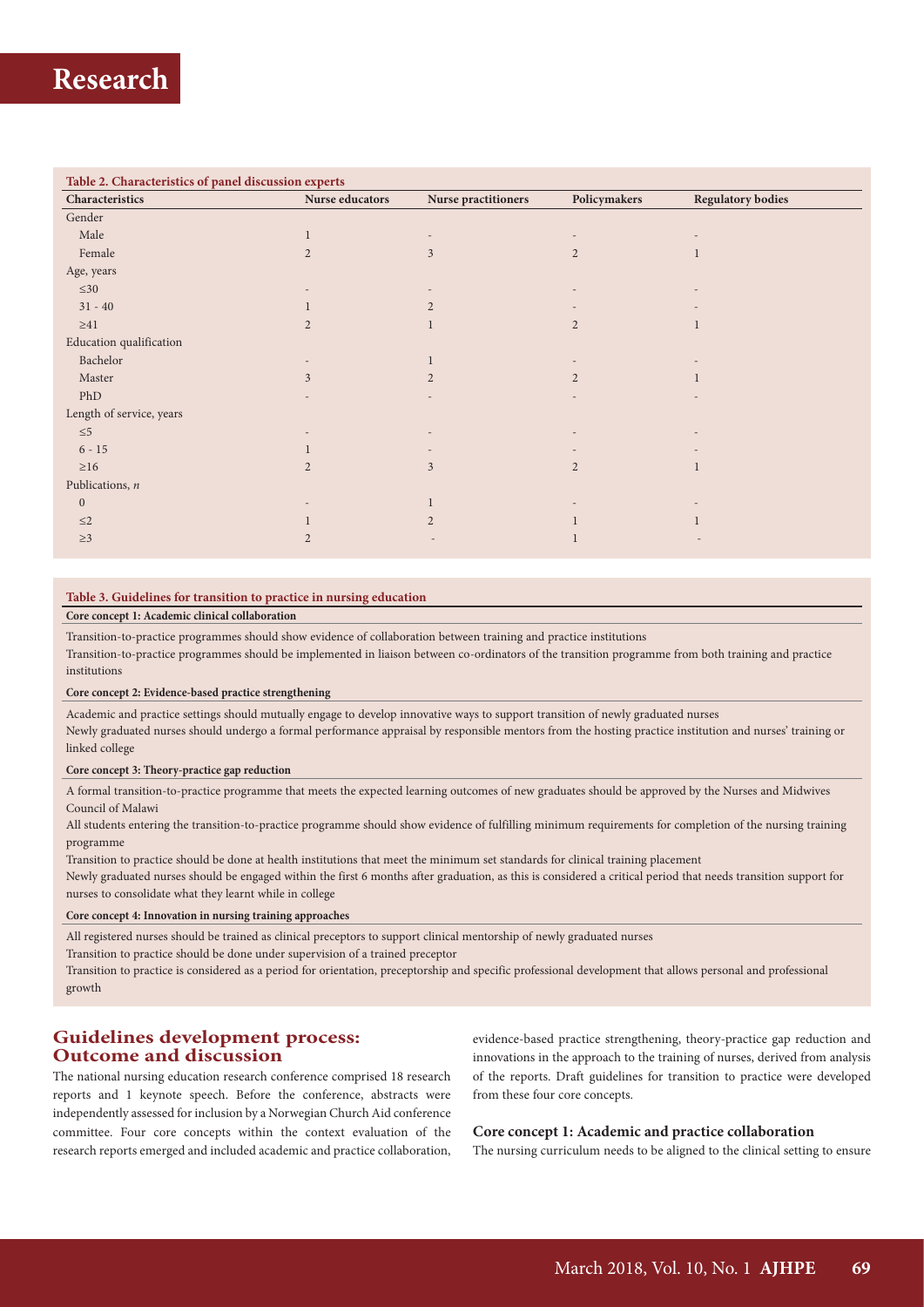#### **Table 2. Characteristics of panel discussion experts**

| Characteristics          | Nurse educators | Nurse practitioners | Policymakers   | <b>Regulatory bodies</b> |  |
|--------------------------|-----------------|---------------------|----------------|--------------------------|--|
| Gender                   |                 |                     |                |                          |  |
| Male                     |                 |                     |                |                          |  |
| Female                   | $\overline{2}$  | 3                   | $\overline{2}$ |                          |  |
| Age, years               |                 |                     |                |                          |  |
| $\leq 30$                |                 |                     | $\overline{a}$ |                          |  |
| $31 - 40$                |                 | 2                   |                |                          |  |
| ${\geq}41$               | $\overline{2}$  |                     | 2              |                          |  |
| Education qualification  |                 |                     |                |                          |  |
| Bachelor                 |                 |                     |                |                          |  |
| Master                   | $\overline{3}$  | $\overline{2}$      | $\overline{2}$ |                          |  |
| PhD                      |                 |                     | $\overline{a}$ |                          |  |
| Length of service, years |                 |                     |                |                          |  |
| $\leq 5$                 |                 |                     |                |                          |  |
| $6 - 15$                 |                 |                     |                |                          |  |
| $\geq$ 16                | $\overline{2}$  | 3                   | 2              |                          |  |
| Publications, $n$        |                 |                     |                |                          |  |
| $\mathbf{0}$             |                 |                     |                |                          |  |
| $\leq$ 2                 |                 | $\overline{2}$      |                |                          |  |
| $\geq$ 3                 | $\overline{2}$  |                     | 1              |                          |  |

#### **Table 3. Guidelines for transition to practice in nursing education**

#### **Core concept 1: Academic clinical collaboration**

Transition-to-practice programmes should show evidence of collaboration between training and practice institutions

Transition-to-practice programmes should be implemented in liaison between co-ordinators of the transition programme from both training and practice institutions

#### **Core concept 2: Evidence-based practice strengthening**

Academic and practice settings should mutually engage to develop innovative ways to support transition of newly graduated nurses Newly graduated nurses should undergo a formal performance appraisal by responsible mentors from the hosting practice institution and nurses' training or linked college

#### **Core concept 3: Theory-practice gap reduction**

A formal transition-to-practice programme that meets the expected learning outcomes of new graduates should be approved by the Nurses and Midwives Council of Malawi

All students entering the transition-to-practice programme should show evidence of fulfilling minimum requirements for completion of the nursing training programme

Transition to practice should be done at health institutions that meet the minimum set standards for clinical training placement Newly graduated nurses should be engaged within the first 6 months after graduation, as this is considered a critical period that needs transition support for nurses to consolidate what they learnt while in college

#### **Core concept 4: Innovation in nursing training approaches**

All registered nurses should be trained as clinical preceptors to support clinical mentorship of newly graduated nurses

Transition to practice should be done under supervision of a trained preceptor

Transition to practice is considered as a period for orientation, preceptorship and specific professional development that allows personal and professional growth

### **Guidelines development process: Outcome and discussion**

The national nursing education research conference comprised 18 research reports and 1 keynote speech. Before the conference, abstracts were independently assessed for inclusion by a Norwegian Church Aid conference committee. Four core concepts within the context evaluation of the research reports emerged and included academic and practice collaboration,

evidence-based practice strengthening, theory-practice gap reduction and innovations in the approach to the training of nurses, derived from analysis of the reports. Draft guidelines for transition to practice were developed from these four core concepts.

#### **Core concept 1: Academic and practice collaboration**

The nursing curriculum needs to be aligned to the clinical setting to ensure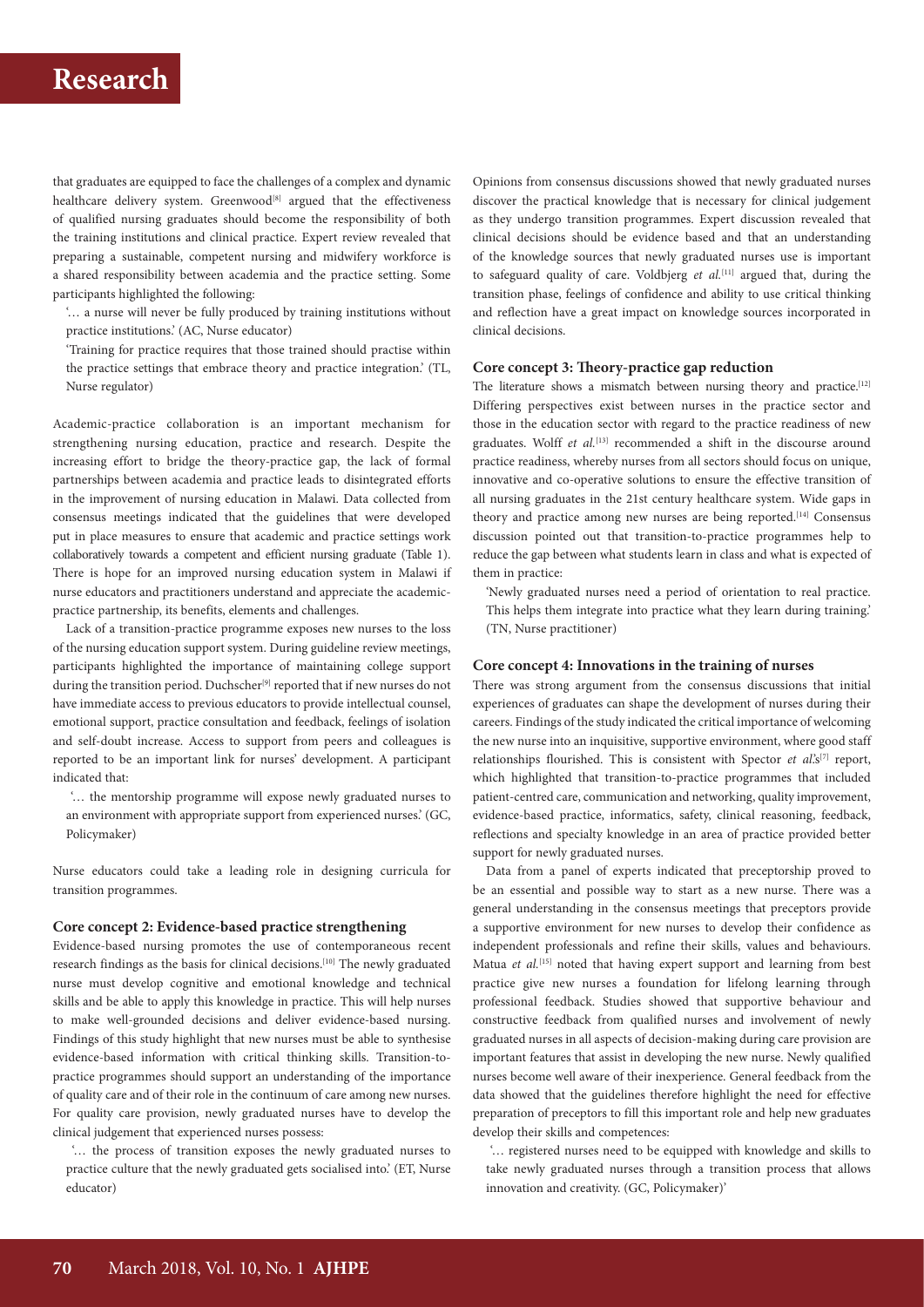# **Research**

that graduates are equipped to face the challenges of a complex and dynamic healthcare delivery system. Greenwood<sup>[8]</sup> argued that the effectiveness of qualified nursing graduates should become the responsibility of both the training institutions and clinical practice. Expert review revealed that preparing a sustainable, competent nursing and midwifery workforce is a shared responsibility between academia and the practice setting. Some participants highlighted the following:

'… a nurse will never be fully produced by training institutions without practice institutions.' (AC, Nurse educator)

'Training for practice requires that those trained should practise within the practice settings that embrace theory and practice integration.' (TL, Nurse regulator)

Academic-practice collaboration is an important mechanism for strengthening nursing education, practice and research. Despite the increasing effort to bridge the theory-practice gap, the lack of formal partnerships between academia and practice leads to disintegrated efforts in the improvement of nursing education in Malawi. Data collected from consensus meetings indicated that the guidelines that were developed put in place measures to ensure that academic and practice settings work collaboratively towards a competent and efficient nursing graduate (Table 1). There is hope for an improved nursing education system in Malawi if nurse educators and practitioners understand and appreciate the academicpractice partnership, its benefits, elements and challenges.

Lack of a transition-practice programme exposes new nurses to the loss of the nursing education support system. During guideline review meetings, participants highlighted the importance of maintaining college support during the transition period. Duchscher<sup>[9]</sup> reported that if new nurses do not have immediate access to previous educators to provide intellectual counsel, emotional support, practice consultation and feedback, feelings of isolation and self-doubt increase. Access to support from peers and colleagues is reported to be an important link for nurses' development. A participant indicated that:

 '… the mentorship programme will expose newly graduated nurses to an environment with appropriate support from experienced nurses.' (GC, Policymaker)

Nurse educators could take a leading role in designing curricula for transition programmes.

#### **Core concept 2: Evidence-based practice strengthening**

Evidence-based nursing promotes the use of contemporaneous recent research findings as the basis for clinical decisions.<sup>[10]</sup> The newly graduated nurse must develop cognitive and emotional knowledge and technical skills and be able to apply this knowledge in practice. This will help nurses to make well-grounded decisions and deliver evidence-based nursing. Findings of this study highlight that new nurses must be able to synthesise evidence-based information with critical thinking skills. Transition-topractice programmes should support an understanding of the importance of quality care and of their role in the continuum of care among new nurses. For quality care provision, newly graduated nurses have to develop the clinical judgement that experienced nurses possess:

 '… the process of transition exposes the newly graduated nurses to practice culture that the newly graduated gets socialised into.' (ET, Nurse educator)

Opinions from consensus discussions showed that newly graduated nurses discover the practical knowledge that is necessary for clinical judgement as they undergo transition programmes. Expert discussion revealed that clinical decisions should be evidence based and that an understanding of the knowledge sources that newly graduated nurses use is important to safeguard quality of care. Voldbjerg *et al.*[11] argued that, during the transition phase, feelings of confidence and ability to use critical thinking and reflection have a great impact on knowledge sources incorporated in clinical decisions.

#### **Core concept 3: Theory-practice gap reduction**

The literature shows a mismatch between nursing theory and practice.<sup>[12]</sup> Differing perspectives exist between nurses in the practice sector and those in the education sector with regard to the practice readiness of new graduates. Wolff *et al.*<sup>[13]</sup> recommended a shift in the discourse around practice readiness, whereby nurses from all sectors should focus on unique, innovative and co-operative solutions to ensure the effective transition of all nursing graduates in the 21st century healthcare system. Wide gaps in theory and practice among new nurses are being reported.<sup>[14]</sup> Consensus discussion pointed out that transition-to-practice programmes help to reduce the gap between what students learn in class and what is expected of them in practice:

'Newly graduated nurses need a period of orientation to real practice. This helps them integrate into practice what they learn during training.' (TN, Nurse practitioner)

#### **Core concept 4: Innovations in the training of nurses**

There was strong argument from the consensus discussions that initial experiences of graduates can shape the development of nurses during their careers. Findings of the study indicated the critical importance of welcoming the new nurse into an inquisitive, supportive environment, where good staff relationships flourished. This is consistent with Spector *et al*.'s<sup>[7]</sup> report, which highlighted that transition-to-practice programmes that included patient-centred care, communication and networking, quality improvement, evidence-based practice, informatics, safety, clinical reasoning, feedback, reflections and specialty knowledge in an area of practice provided better support for newly graduated nurses.

Data from a panel of experts indicated that preceptorship proved to be an essential and possible way to start as a new nurse. There was a general understanding in the consensus meetings that preceptors provide a supportive environment for new nurses to develop their confidence as independent professionals and refine their skills, values and behaviours. Matua *et al.*<sup>[15]</sup> noted that having expert support and learning from best practice give new nurses a foundation for lifelong learning through professional feedback. Studies showed that supportive behaviour and constructive feedback from qualified nurses and involvement of newly graduated nurses in all aspects of decision-making during care provision are important features that assist in developing the new nurse. Newly qualified nurses become well aware of their inexperience. General feedback from the data showed that the guidelines therefore highlight the need for effective preparation of preceptors to fill this important role and help new graduates develop their skills and competences:

 '… registered nurses need to be equipped with knowledge and skills to take newly graduated nurses through a transition process that allows innovation and creativity. (GC, Policymaker)'